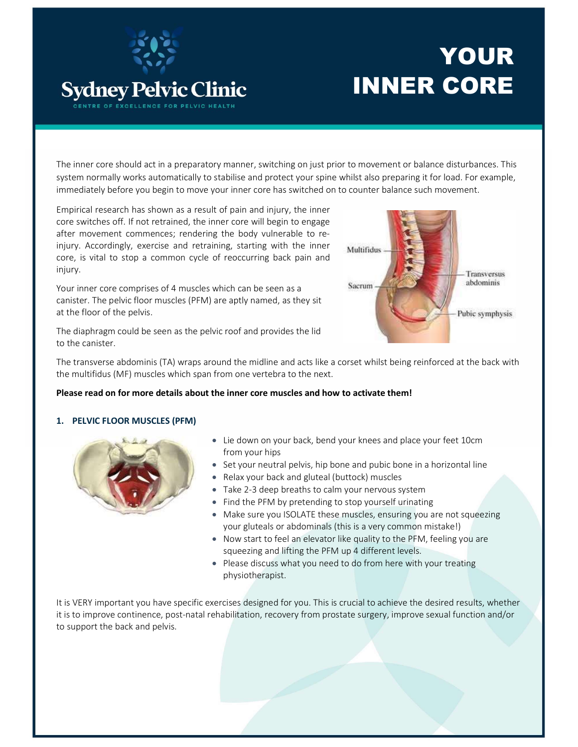

# YOUR INNER CORE

The inner core should act in a preparatory manner, switching on just prior to movement or balance disturbances. This system normally works automatically to stabilise and protect your spine whilst also preparing it for load. For example, immediately before you begin to move your inner core has switched on to counter balance such movement.

Empirical research has shown as a result of pain and injury, the inner core switches off. If not retrained, the inner core will begin to engage after movement commences; rendering the body vulnerable to reinjury. Accordingly, exercise and retraining, starting with the inner core, is vital to stop a common cycle of reoccurring back pain and injury.

Your inner core comprises of 4 muscles which can be seen as a canister. The pelvic floor muscles (PFM) are aptly named, as they sit at the floor of the pelvis.



The diaphragm could be seen as the pelvic roof and provides the lid to the canister.

The transverse abdominis (TA) wraps around the midline and acts like a corset whilst being reinforced at the back with the multifidus (MF) muscles which span from one vertebra to the next.

### Please read on for more details about the inner core muscles and how to activate them!

### 1. PELVIC FLOOR MUSCLES (PFM)



- Lie down on your back, bend your knees and place your feet 10cm from your hips
- Set your neutral pelvis, hip bone and pubic bone in a horizontal line
- Relax your back and gluteal (buttock) muscles
- Take 2-3 deep breaths to calm your nervous system
- Find the PFM by pretending to stop yourself urinating
- Make sure you ISOLATE these muscles, ensuring you are not squeezing your gluteals or abdominals (this is a very common mistake!)
- Now start to feel an elevator like quality to the PFM, feeling you are squeezing and lifting the PFM up 4 different levels.
- Please discuss what you need to do from here with your treating physiotherapist.

It is VERY important you have specific exercises designed for you. This is crucial to achieve the desired results, whether it is to improve continence, post-natal rehabilitation, recovery from prostate surgery, improve sexual function and/or to support the back and pelvis.